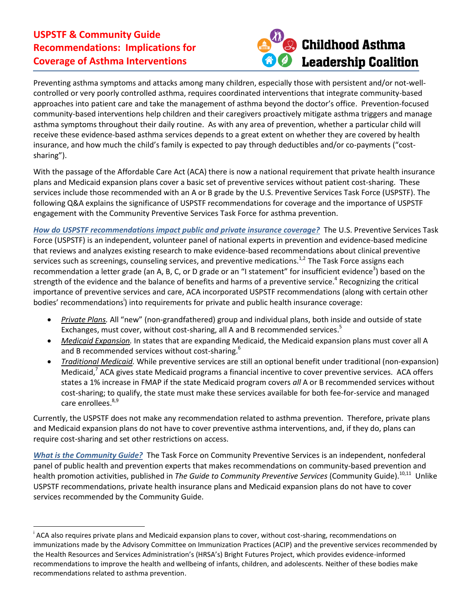## **USPSTF & Community Guide Recommendations: Implications for Coverage of Asthma Interventions**



Preventing asthma symptoms and attacks among many children, especially those with persistent and/or not-wellcontrolled or very poorly controlled asthma, requires coordinated interventions that integrate community-based approaches into patient care and take the management of asthma beyond the doctor's office. Prevention-focused community-based interventions help children and their caregivers proactively mitigate asthma triggers and manage asthma symptoms throughout their daily routine. As with any area of prevention, whether a particular child will receive these evidence-based asthma services depends to a great extent on whether they are covered by health insurance, and how much the child's family is expected to pay through deductibles and/or co-payments ("costsharing").

With the passage of the Affordable Care Act (ACA) there is now a national requirement that private health insurance plans and Medicaid expansion plans cover a basic set of preventive services without patient cost-sharing. These services include those recommended with an A or B grade by the U.S. Preventive Services Task Force (USPSTF). The following Q&A explains the significance of USPSTF recommendations for coverage and the importance of USPSTF engagement with the Community Preventive Services Task Force for asthma prevention.

*How do USPSTF recommendations impact public and private insurance coverage?* The U.S. Preventive Services Task Force (USPSTF) is an independent, volunteer panel of national experts in prevention and evidence-based medicine that reviews and analyzes existing research to make evidence-based recommendations about clinical preventive services such as screenings, counseling services, and preventive medications.<sup>1,2</sup> The Task Force assigns each recommendation a letter grade (an A, B, C, or D grade or an "I statement" for insufficient evidence<sup>3</sup>) based on the strength of the evidence and the balance of benefits and harms of a preventive service.<sup>4</sup> Recognizing the critical importance of preventive services and care, ACA incorporated USPSTF recommendations (along with certain other bodies' recommendations<sup>i</sup>) into requirements for private and public health insurance coverage:

- *Private Plans.* All "new" (non-grandfathered) group and individual plans, both inside and outside of state Exchanges, must cover, without cost-sharing, all A and B recommended services.<sup>5</sup>
- *Medicaid Expansion.* In states that are expanding Medicaid, the Medicaid expansion plans must cover all A and B recommended services without cost-sharing.<sup>6</sup>
- *Traditional Medicaid.* While preventive services are still an optional benefit under traditional (non-expansion) Medicaid,<sup>7</sup> ACA gives state Medicaid programs a financial incentive to cover preventive services. ACA offers states a 1% increase in FMAP if the state Medicaid program covers *all* A or B recommended services without cost-sharing; to qualify, the state must make these services available for both fee-for-service and managed care enrollees.<sup>8,9</sup>

Currently, the USPSTF does not make any recommendation related to asthma prevention. Therefore, private plans and Medicaid expansion plans do not have to cover preventive asthma interventions, and, if they do, plans can require cost-sharing and set other restrictions on access.

*What is the Community Guide?* The Task Force on Community Preventive Services is an independent, nonfederal panel of public health and prevention experts that makes recommendations on community-based prevention and health promotion activities, published in *The Guide to Community Preventive Services* (Community Guide).<sup>10,11</sup> Unlike USPSTF recommendations, private health insurance plans and Medicaid expansion plans do not have to cover services recommended by the Community Guide.

i <sup>i</sup> ACA also requires private plans and Medicaid expansion plans to cover, without cost-sharing, recommendations on immunizations made by the Advisory Committee on Immunization Practices (ACIP) and the preventive services recommended by the Health Resources and Services Administration's (HRSA's) Bright Futures Project, which provides evidence-informed recommendations to improve the health and wellbeing of infants, children, and adolescents. Neither of these bodies make recommendations related to asthma prevention.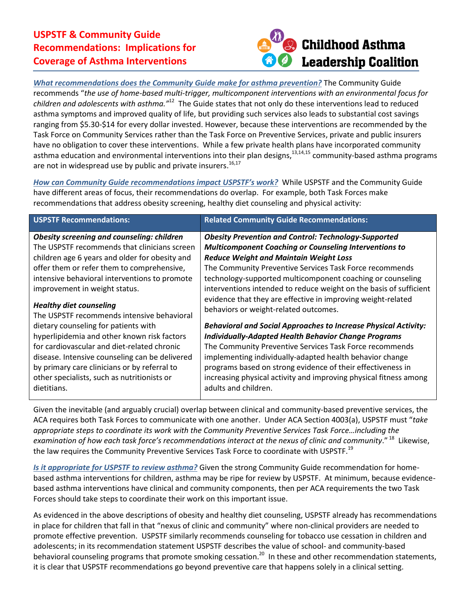## **USPSTF & Community Guide Recommendations: Implications for Coverage of Asthma Interventions**



*What recommendations does the Community Guide make for asthma prevention?* The Community Guide recommends "*the use of home-based multi-trigger, multicomponent interventions with an environmental focus for children and adolescents with asthma."*12 The Guide states that not only do these interventions lead to reduced asthma symptoms and improved quality of life, but providing such services also leads to substantial cost savings ranging from \$5.30-\$14 for every dollar invested. However, because these interventions are recommended by the Task Force on Community Services rather than the Task Force on Preventive Services, private and public insurers have no obligation to cover these interventions. While a few private health plans have incorporated community asthma education and environmental interventions into their plan designs,<sup>13,14,15</sup> community-based asthma programs are not in widespread use by public and private insurers.<sup>16,17</sup>

*How can Community Guide recommendations impact USPSTF's work?* While USPSTF and the Community Guide have different areas of focus, their recommendations do overlap. For example, both Task Forces make recommendations that address obesity screening, healthy diet counseling and physical activity:

| <b>USPSTF Recommendations:</b>                                                                                                                                                                                                                                                                                                                   | <b>Related Community Guide Recommendations:</b>                                                                                                                                                                                                                                                                                                                                                                                                                                                                                                                                                                                                                                                                                                                                                                                                                                                                   |
|--------------------------------------------------------------------------------------------------------------------------------------------------------------------------------------------------------------------------------------------------------------------------------------------------------------------------------------------------|-------------------------------------------------------------------------------------------------------------------------------------------------------------------------------------------------------------------------------------------------------------------------------------------------------------------------------------------------------------------------------------------------------------------------------------------------------------------------------------------------------------------------------------------------------------------------------------------------------------------------------------------------------------------------------------------------------------------------------------------------------------------------------------------------------------------------------------------------------------------------------------------------------------------|
| <b>Obesity screening and counseling: children</b><br>The USPSTF recommends that clinicians screen<br>children age 6 years and older for obesity and<br>offer them or refer them to comprehensive,<br>intensive behavioral interventions to promote<br>improvement in weight status.<br><b>Healthy diet counseling</b>                            | <b>Obesity Prevention and Control: Technology-Supported</b><br><b>Multicomponent Coaching or Counseling Interventions to</b><br><b>Reduce Weight and Maintain Weight Loss</b><br>The Community Preventive Services Task Force recommends<br>technology-supported multicomponent coaching or counseling<br>interventions intended to reduce weight on the basis of sufficient<br>evidence that they are effective in improving weight-related<br>behaviors or weight-related outcomes.<br><b>Behavioral and Social Approaches to Increase Physical Activity:</b><br><b>Individually-Adapted Health Behavior Change Programs</b><br>The Community Preventive Services Task Force recommends<br>implementing individually-adapted health behavior change<br>programs based on strong evidence of their effectiveness in<br>increasing physical activity and improving physical fitness among<br>adults and children. |
| The USPSTF recommends intensive behavioral<br>dietary counseling for patients with<br>hyperlipidemia and other known risk factors<br>for cardiovascular and diet-related chronic<br>disease. Intensive counseling can be delivered<br>by primary care clinicians or by referral to<br>other specialists, such as nutritionists or<br>dietitians. |                                                                                                                                                                                                                                                                                                                                                                                                                                                                                                                                                                                                                                                                                                                                                                                                                                                                                                                   |

Given the inevitable (and arguably crucial) overlap between clinical and community-based preventive services, the ACA requires both Task Forces to communicate with one another. Under ACA Section 4003(a), USPSTF must "*take appropriate steps to coordinate its work with the Community Preventive Services Task Force…including the examination of how each task force's recommendations interact at the nexus of clinic and community*." 18 Likewise, the law requires the Community Preventive Services Task Force to coordinate with USPSTF.<sup>19</sup>

*Is it appropriate for USPSTF to review asthma?* Given the strong Community Guide recommendation for homebased asthma interventions for children, asthma may be ripe for review by USPSTF. At minimum, because evidencebased asthma interventions have clinical and community components, then per ACA requirements the two Task Forces should take steps to coordinate their work on this important issue.

As evidenced in the above descriptions of obesity and healthy diet counseling, USPSTF already has recommendations in place for children that fall in that "nexus of clinic and community" where non-clinical providers are needed to promote effective prevention. USPSTF similarly recommends counseling for tobacco use cessation in children and adolescents; in its recommendation statement USPSTF describes the value of school- and community-based behavioral counseling programs that promote smoking cessation.<sup>20</sup> In these and other recommendation statements, it is clear that USPSTF recommendations go beyond preventive care that happens solely in a clinical setting.